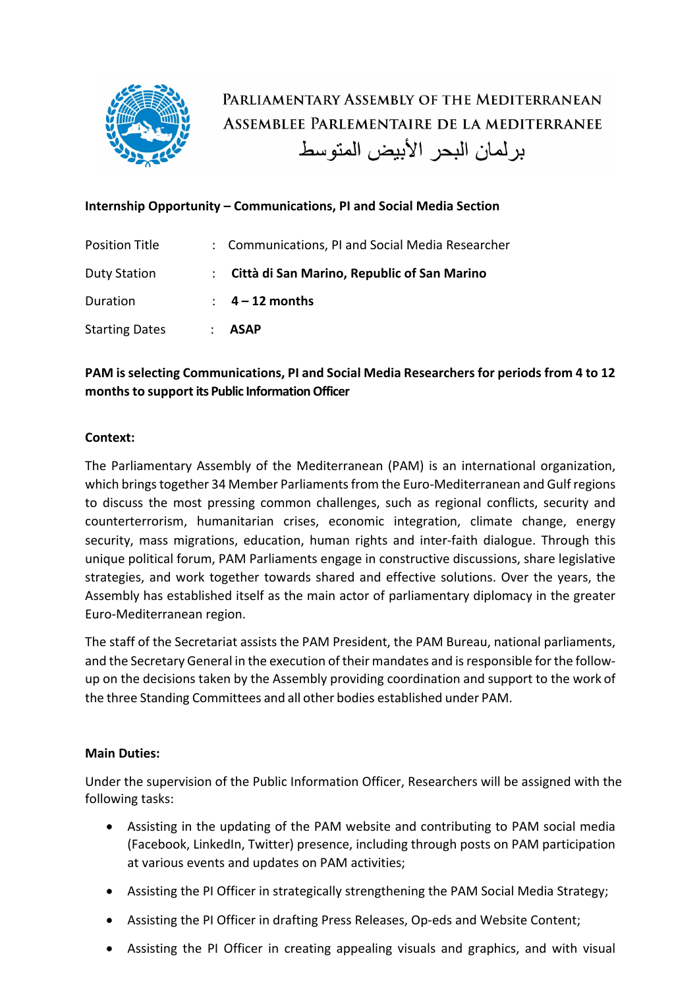

# PARLIAMENTARY ASSEMBLY OF THE MEDITERRANEAN ASSEMBLEE PARLEMENTAIRE DE LA MEDITERRANEE بر لمان البحر الأبيض المتوسط

## **Internship Opportunity – Communications, PI and Social Media Section**

| <b>Position Title</b> | : Communications, PI and Social Media Researcher |
|-----------------------|--------------------------------------------------|
| <b>Duty Station</b>   | : Città di San Marino, Republic of San Marino    |
| Duration              | $\therefore$ 4 – 12 months                       |
| <b>Starting Dates</b> | <b>ASAP</b>                                      |

## **PAM is selecting Communications, PI and Social Media Researchers for periods from 4 to 12 monthsto support its Public Information Officer**

#### **Context:**

The Parliamentary Assembly of the Mediterranean (PAM) is an international organization, which brings together 34 Member Parliaments from the Euro-Mediterranean and Gulf regions to discuss the most pressing common challenges, such as regional conflicts, security and counterterrorism, humanitarian crises, economic integration, climate change, energy security, mass migrations, education, human rights and inter-faith dialogue. Through this unique political forum, PAM Parliaments engage in constructive discussions, share legislative strategies, and work together towards shared and effective solutions. Over the years, the Assembly has established itself as the main actor of parliamentary diplomacy in the greater Euro-Mediterranean region.

The staff of the Secretariat assists the PAM President, the PAM Bureau, national parliaments, and the Secretary General in the execution of their mandates and is responsible for the followup on the decisions taken by the Assembly providing coordination and support to the work of the three Standing Committees and all other bodies established under PAM.

### **Main Duties:**

Under the supervision of the Public Information Officer, Researchers will be assigned with the following tasks:

- Assisting in the updating of the PAM website and contributing to PAM social media (Facebook, LinkedIn, Twitter) presence, including through posts on PAM participation at various events and updates on PAM activities;
- Assisting the PI Officer in strategically strengthening the PAM Social Media Strategy;
- Assisting the PI Officer in drafting Press Releases, Op-eds and Website Content;
- Assisting the PI Officer in creating appealing visuals and graphics, and with visual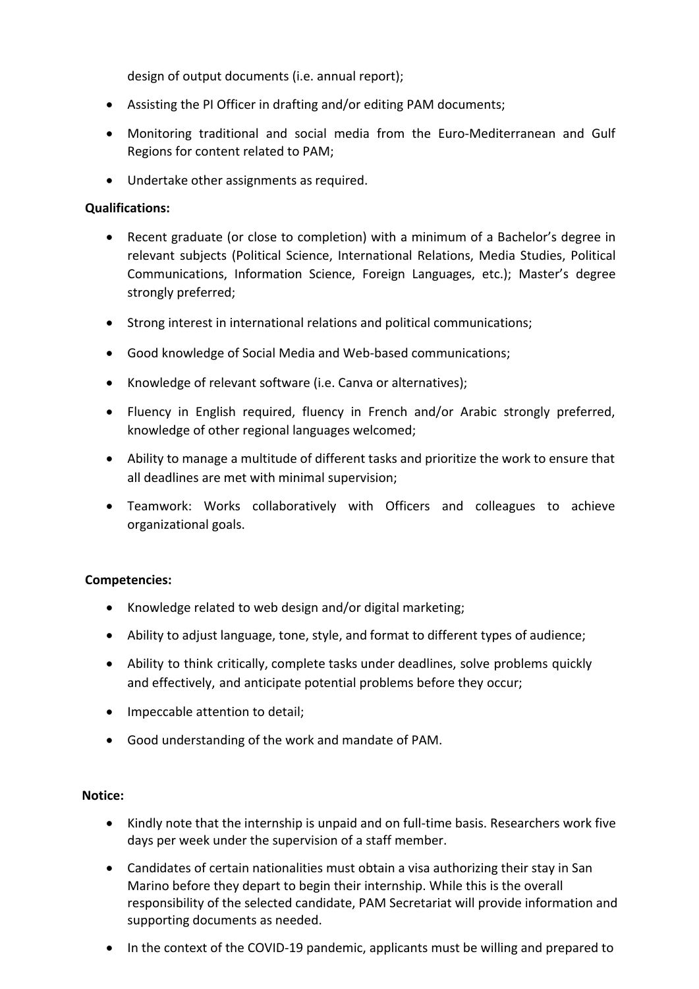design of output documents (i.e. annual report);

- Assisting the PI Officer in drafting and/or editing PAM documents;
- Monitoring traditional and social media from the Euro-Mediterranean and Gulf Regions for content related to PAM;
- Undertake other assignments as required.

#### **Qualifications:**

- Recent graduate (or close to completion) with a minimum of a Bachelor's degree in relevant subjects (Political Science, International Relations, Media Studies, Political Communications, Information Science, Foreign Languages, etc.); Master's degree strongly preferred;
- Strong interest in international relations and political communications;
- Good knowledge of Social Media and Web-based communications;
- Knowledge of relevant software (i.e. Canva or alternatives);
- Fluency in English required, fluency in French and/or Arabic strongly preferred, knowledge of other regional languages welcomed;
- Ability to manage a multitude of different tasks and prioritize the work to ensure that all deadlines are met with minimal supervision;
- Teamwork: Works collaboratively with Officers and colleagues to achieve organizational goals.

### **Competencies:**

- Knowledge related to web design and/or digital marketing;
- Ability to adjust language, tone, style, and format to different types of audience;
- Ability to think critically, complete tasks under deadlines, solve problems quickly and effectively, and anticipate potential problems before they occur;
- Impeccable attention to detail;
- Good understanding of the work and mandate of PAM.

#### **Notice:**

- Kindly note that the internship is unpaid and on full-time basis. Researchers work five days per week under the supervision of a staff member.
- Candidates of certain nationalities must obtain a visa authorizing their stay in San Marino before they depart to begin their internship. While this is the overall responsibility of the selected candidate, PAM Secretariat will provide information and supporting documents as needed.
- In the context of the COVID-19 pandemic, applicants must be willing and prepared to